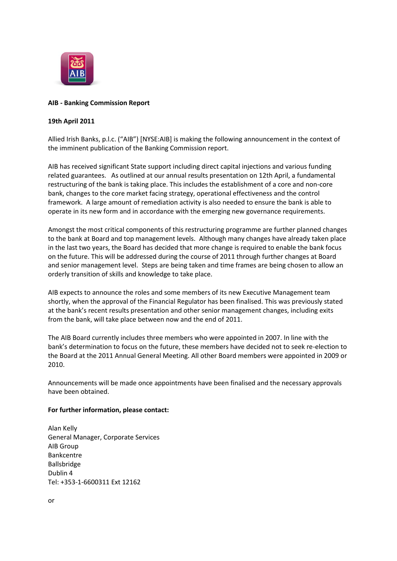

## **AIB - Banking Commission Report**

## **19th April 2011**

Allied Irish Banks, p.l.c. ("AIB") [NYSE:AIB] is making the following announcement in the context of the imminent publication of the Banking Commission report.

AIB has received significant State support including direct capital injections and various funding related guarantees. As outlined at our annual results presentation on 12th April, a fundamental restructuring of the bank is taking place. This includes the establishment of a core and non-core bank, changes to the core market facing strategy, operational effectiveness and the control framework. A large amount of remediation activity is also needed to ensure the bank is able to operate in its new form and in accordance with the emerging new governance requirements.

Amongst the most critical components of this restructuring programme are further planned changes to the bank at Board and top management levels. Although many changes have already taken place in the last two years, the Board has decided that more change is required to enable the bank focus on the future. This will be addressed during the course of 2011 through further changes at Board and senior management level. Steps are being taken and time frames are being chosen to allow an orderly transition of skills and knowledge to take place.

AIB expects to announce the roles and some members of its new Executive Management team shortly, when the approval of the Financial Regulator has been finalised. This was previously stated at the bank's recent results presentation and other senior management changes, including exits from the bank, will take place between now and the end of 2011.

The AIB Board currently includes three members who were appointed in 2007. In line with the bank's determination to focus on the future, these members have decided not to seek re-election to the Board at the 2011 Annual General Meeting. All other Board members were appointed in 2009 or 2010.

Announcements will be made once appointments have been finalised and the necessary approvals have been obtained.

## **For further information, please contact:**

Alan Kelly General Manager, Corporate Services AIB Group Bankcentre Ballsbridge Dublin 4 Tel: +353-1-6600311 Ext 12162